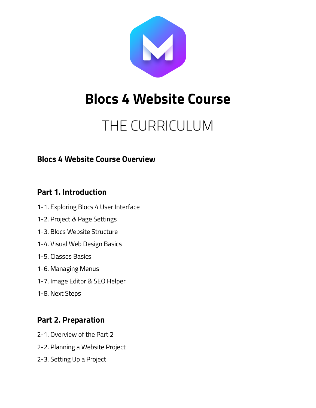

# **Blocs 4 Website Course**

# THE CURRICULUM

# **Blocs 4 Website Course Overview**

# **Part 1. Introduction**

- 1-1. Exploring Blocs 4 User Interface
- 1-2. Project & Page Settings
- 1-3. Blocs Website Structure
- 1-4. Visual Web Design Basics
- 1-5. Classes Basics
- 1-6. Managing Menus
- 1-7. Image Editor & SEO Helper
- 1-8. Next Steps

# **Part 2. Preparation**

- 2-1. Overview of the Part 2
- 2-2. Planning a Website Project
- 2-3. Setting Up a Project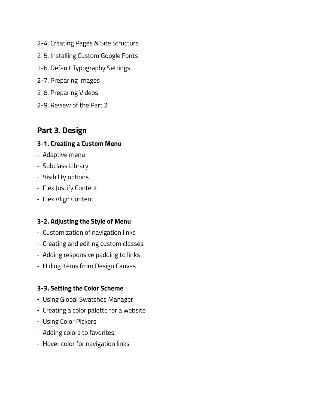- 2-4. Creating Pages & Site Structure
- 2-5. Installing Custom Google Fonts
- 2-6. Default Typography Settings
- 2-7. Preparing Images
- 2-8. Preparing Videos
- 2-9. Review of the Part 2

# **Part 3. Design**

# **3-1. Creating a Custom Menu**

- ⁃ Adaptive menu
- ⁃ Subclass Library
- ⁃ Visibility options
- ⁃ Flex Justify Content
- ⁃ Flex Align Content

# **3-2. Adjusting the Style of Menu**

- ⁃ Customization of navigation links
- ⁃ Creating and editing custom classes
- ⁃ Adding responsive padding to links
- ⁃ Hiding Items from Design Canvas

# **3-3. Setting the Color Scheme**

- ⁃ Using Global Swatches Manager
- ⁃ Creating a color palette for a website
- ⁃ Using Color Pickers
- ⁃ Adding colors to favorites
- ⁃ Hover color for navigation links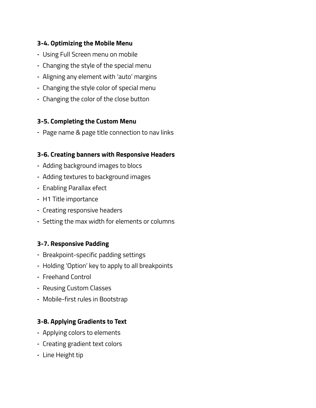# **3-4. Optimizing the Mobile Menu**

- ⁃ Using Full Screen menu on mobile
- ⁃ Changing the style of the special menu
- ⁃ Aligning any element with 'auto' margins
- ⁃ Changing the style color of special menu
- ⁃ Changing the color of the close button

#### **3-5. Completing the Custom Menu**

⁃ Page name & page title connection to nav links

#### **3-6. Creating banners with Responsive Headers**

- ⁃ Adding background images to blocs
- ⁃ Adding textures to background images
- ⁃ Enabling Parallax efect
- ⁃ H1 Title importance
- ⁃ Creating responsive headers
- ⁃ Setting the max width for elements or columns

# **3-7. Responsive Padding**

- ⁃ Breakpoint-specific padding settings
- ⁃ Holding 'Option' key to apply to all breakpoints
- ⁃ Freehand Control
- ⁃ Reusing Custom Classes
- ⁃ Mobile-first rules in Bootstrap

# **3-8. Applying Gradients to Text**

- ⁃ Applying colors to elements
- ⁃ Creating gradient text colors
- ⁃ Line Height tip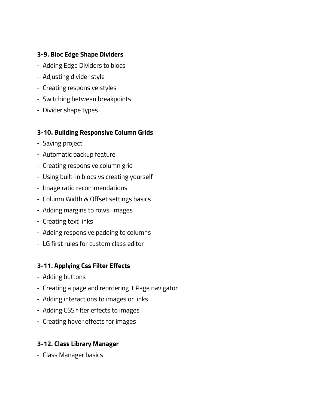### **3-9. Bloc Edge Shape Dividers**

- ⁃ Adding Edge Dividers to blocs
- ⁃ Adjusting divider style
- ⁃ Creating responsive styles
- ⁃ Switching between breakpoints
- ⁃ Divider shape types

#### **3-10. Building Responsive Column Grids**

- Saving project
- ⁃ Automatic backup feature
- ⁃ Creating responsive column grid
- ⁃ Using built-in blocs vs creating yourself
- ⁃ Image ratio recommendations
- ⁃ Column Width & Offset settings basics
- ⁃ Adding margins to rows, images
- ⁃ Creating text links
- ⁃ Adding responsive padding to columns
- ⁃ LG first rules for custom class editor

#### **3-11. Applying Css Filter Effects**

- ⁃ Adding buttons
- ⁃ Creating a page and reordering it Page navigator
- ⁃ Adding interactions to images or links
- ⁃ Adding CSS filter effects to images
- ⁃ Creating hover effects for images

#### **3-12. Class Library Manager**

⁃ Class Manager basics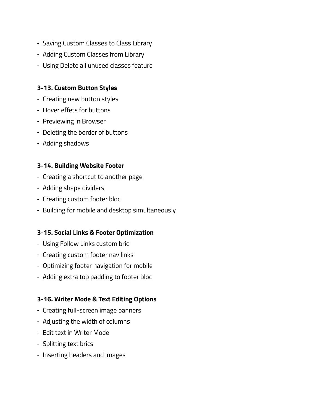- ⁃ Saving Custom Classes to Class Library
- ⁃ Adding Custom Classes from Library
- ⁃ Using Delete all unused classes feature

#### **3-13. Custom Button Styles**

- ⁃ Creating new button styles
- ⁃ Hover effets for buttons
- ⁃ Previewing in Browser
- ⁃ Deleting the border of buttons
- ⁃ Adding shadows

#### **3-14. Building Website Footer**

- ⁃ Creating a shortcut to another page
- ⁃ Adding shape dividers
- ⁃ Creating custom footer bloc
- ⁃ Building for mobile and desktop simultaneously

#### **3-15. Social Links & Footer Optimization**

- ⁃ Using Follow Links custom bric
- ⁃ Creating custom footer nav links
- ⁃ Optimizing footer navigation for mobile
- ⁃ Adding extra top padding to footer bloc

#### **3-16. Writer Mode & Text Editing Options**

- ⁃ Creating full-screen image banners
- ⁃ Adjusting the width of columns
- ⁃ Edit text in Writer Mode
- ⁃ Splitting text brics
- ⁃ Inserting headers and images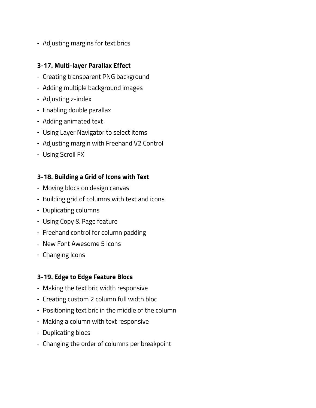⁃ Adjusting margins for text brics

#### **3-17. Multi-layer Parallax Effect**

- ⁃ Creating transparent PNG background
- ⁃ Adding multiple background images
- ⁃ Adjusting z-index
- ⁃ Enabling double parallax
- ⁃ Adding animated text
- ⁃ Using Layer Navigator to select items
- ⁃ Adjusting margin with Freehand V2 Control
- ⁃ Using Scroll FX

#### **3-18. Building a Grid of Icons with Text**

- ⁃ Moving blocs on design canvas
- ⁃ Building grid of columns with text and icons
- ⁃ Duplicating columns
- ⁃ Using Copy & Page feature
- ⁃ Freehand control for column padding
- ⁃ New Font Awesome 5 Icons
- ⁃ Changing Icons

#### **3-19. Edge to Edge Feature Blocs**

- ⁃ Making the text bric width responsive
- ⁃ Creating custom 2 column full width bloc
- ⁃ Positioning text bric in the middle of the column
- ⁃ Making a column with text responsive
- ⁃ Duplicating blocs
- ⁃ Changing the order of columns per breakpoint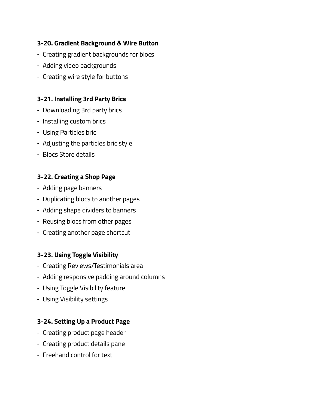# **3-20. Gradient Background & Wire Button**

- ⁃ Creating gradient backgrounds for blocs
- ⁃ Adding video backgrounds
- ⁃ Creating wire style for buttons

#### **3-21. Installing 3rd Party Brics**

- ⁃ Downloading 3rd party brics
- ⁃ Installing custom brics
- ⁃ Using Particles bric
- ⁃ Adjusting the particles bric style
- ⁃ Blocs Store details

#### **3-22. Creating a Shop Page**

- ⁃ Adding page banners
- ⁃ Duplicating blocs to another pages
- ⁃ Adding shape dividers to banners
- ⁃ Reusing blocs from other pages
- ⁃ Creating another page shortcut

#### **3-23. Using Toggle Visibility**

- ⁃ Creating Reviews/Testimonials area
- ⁃ Adding responsive padding around columns
- ⁃ Using Toggle Visibility feature
- ⁃ Using Visibility settings

# **3-24. Setting Up a Product Page**

- ⁃ Creating product page header
- ⁃ Creating product details pane
- ⁃ Freehand control for text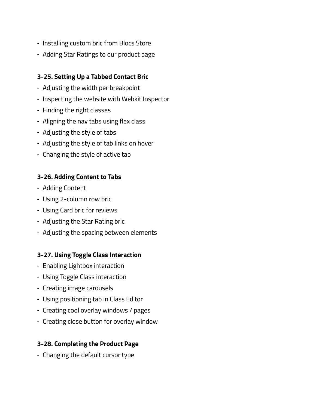- ⁃ Installing custom bric from Blocs Store
- ⁃ Adding Star Ratings to our product page

### **3-25. Setting Up a Tabbed Contact Bric**

- ⁃ Adjusting the width per breakpoint
- ⁃ Inspecting the website with Webkit Inspector
- ⁃ Finding the right classes
- ⁃ Aligning the nav tabs using flex class
- ⁃ Adjusting the style of tabs
- ⁃ Adjusting the style of tab links on hover
- ⁃ Changing the style of active tab

# **3-26. Adding Content to Tabs**

- ⁃ Adding Content
- ⁃ Using 2-column row bric
- ⁃ Using Card bric for reviews
- ⁃ Adjusting the Star Rating bric
- ⁃ Adjusting the spacing between elements

# **3-27. Using Toggle Class Interaction**

- ⁃ Enabling Lightbox interaction
- ⁃ Using Toggle Class interaction
- ⁃ Creating image carousels
- ⁃ Using positioning tab in Class Editor
- ⁃ Creating cool overlay windows / pages
- ⁃ Creating close button for overlay window

# **3-28. Completing the Product Page**

⁃ Changing the default cursor type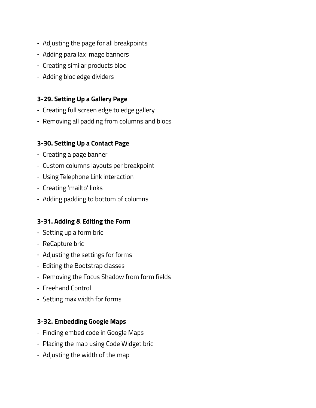- ⁃ Adjusting the page for all breakpoints
- ⁃ Adding parallax image banners
- ⁃ Creating similar products bloc
- ⁃ Adding bloc edge dividers

#### **3-29. Setting Up a Gallery Page**

- ⁃ Creating full screen edge to edge gallery
- ⁃ Removing all padding from columns and blocs

#### **3-30. Setting Up a Contact Page**

- ⁃ Creating a page banner
- ⁃ Custom columns layouts per breakpoint
- ⁃ Using Telephone Link interaction
- ⁃ Creating 'mailto' links
- ⁃ Adding padding to bottom of columns

#### **3-31. Adding & Editing the Form**

- ⁃ Setting up a form bric
- ⁃ ReCapture bric
- ⁃ Adjusting the settings for forms
- ⁃ Editing the Bootstrap classes
- ⁃ Removing the Focus Shadow from form fields
- ⁃ Freehand Control
- ⁃ Setting max width for forms

#### **3-32. Embedding Google Maps**

- ⁃ Finding embed code in Google Maps
- ⁃ Placing the map using Code Widget bric
- ⁃ Adjusting the width of the map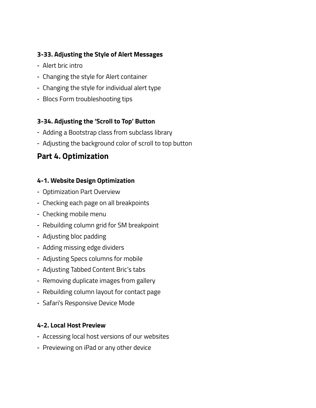# **3-33. Adjusting the Style of Alert Messages**

- ⁃ Alert bric intro
- ⁃ Changing the style for Alert container
- ⁃ Changing the style for individual alert type
- ⁃ Blocs Form troubleshooting tips

#### **3-34. Adjusting the 'Scroll to Top' Button**

- ⁃ Adding a Bootstrap class from subclass library
- ⁃ Adjusting the background color of scroll to top button

# **Part 4. Optimization**

#### **4-1. Website Design Optimization**

- ⁃ Optimization Part Overview
- ⁃ Checking each page on all breakpoints
- ⁃ Checking mobile menu
- ⁃ Rebuilding column grid for SM breakpoint
- ⁃ Adjusting bloc padding
- ⁃ Adding missing edge dividers
- ⁃ Adjusting Specs columns for mobile
- ⁃ Adjusting Tabbed Content Bric's tabs
- ⁃ Removing duplicate images from gallery
- ⁃ Rebuilding column layout for contact page
- ⁃ Safari's Responsive Device Mode

#### **4-2. Local Host Preview**

- ⁃ Accessing local host versions of our websites
- ⁃ Previewing on iPad or any other device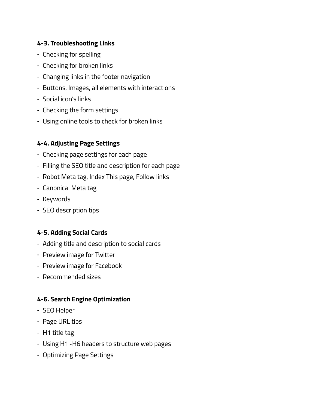# **4-3. Troubleshooting Links**

- ⁃ Checking for spelling
- ⁃ Checking for broken links
- ⁃ Changing links in the footer navigation
- ⁃ Buttons, Images, all elements with interactions
- ⁃ Social icon's links
- ⁃ Checking the form settings
- ⁃ Using online tools to check for broken links

# **4-4. Adjusting Page Settings**

- ⁃ Checking page settings for each page
- ⁃ Filling the SEO title and description for each page
- ⁃ Robot Meta tag, Index This page, Follow links
- ⁃ Canonical Meta tag
- ⁃ Keywords
- ⁃ SEO description tips

# **4-5. Adding Social Cards**

- ⁃ Adding title and description to social cards
- ⁃ Preview image for Twitter
- ⁃ Preview image for Facebook
- ⁃ Recommended sizes

# **4-6. Search Engine Optimization**

- ⁃ SEO Helper
- ⁃ Page URL tips
- ⁃ H1 title tag
- ⁃ Using H1~H6 headers to structure web pages
- ⁃ Optimizing Page Settings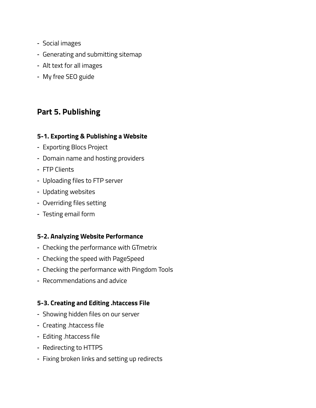- ⁃ Social images
- ⁃ Generating and submitting sitemap
- ⁃ Alt text for all images
- ⁃ My free SEO guide

# **Part 5. Publishing**

#### **5-1. Exporting & Publishing a Website**

- ⁃ Exporting Blocs Project
- ⁃ Domain name and hosting providers
- ⁃ FTP Clients
- ⁃ Uploading files to FTP server
- ⁃ Updating websites
- ⁃ Overriding files setting
- ⁃ Testing email form

# **5-2. Analyzing Website Performance**

- ⁃ Checking the performance with GTmetrix
- ⁃ Checking the speed with PageSpeed
- ⁃ Checking the performance with Pingdom Tools
- ⁃ Recommendations and advice

# **5-3. Creating and Editing .htaccess File**

- ⁃ Showing hidden files on our server
- ⁃ Creating .htaccess file
- ⁃ Editing .htaccess file
- ⁃ Redirecting to HTTPS
- ⁃ Fixing broken links and setting up redirects